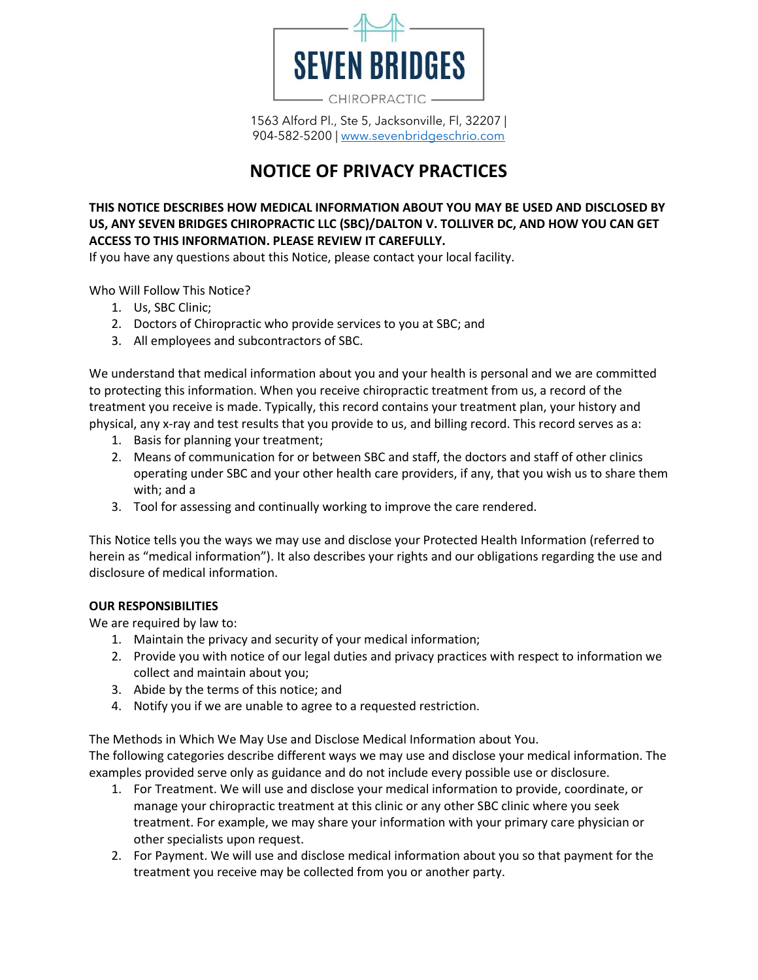

1563 Alford Pl., Ste 5, Jacksonville, Fl, 32207 | 904-582-5200 | [www.sevenbridgeschrio.com](http://www.sevenbridgeschrio.com/)

# **NOTICE OF PRIVACY PRACTICES**

# **THIS NOTICE DESCRIBES HOW MEDICAL INFORMATION ABOUT YOU MAY BE USED AND DISCLOSED BY US, ANY SEVEN BRIDGES CHIROPRACTIC LLC (SBC)/DALTON V. TOLLIVER DC, AND HOW YOU CAN GET ACCESS TO THIS INFORMATION. PLEASE REVIEW IT CAREFULLY.**

If you have any questions about this Notice, please contact your local facility.

Who Will Follow This Notice?

- 1. Us, SBC Clinic;
- 2. Doctors of Chiropractic who provide services to you at SBC; and
- 3. All employees and subcontractors of SBC.

We understand that medical information about you and your health is personal and we are committed to protecting this information. When you receive chiropractic treatment from us, a record of the treatment you receive is made. Typically, this record contains your treatment plan, your history and physical, any x-ray and test results that you provide to us, and billing record. This record serves as a:

- 1. Basis for planning your treatment;
- 2. Means of communication for or between SBC and staff, the doctors and staff of other clinics operating under SBC and your other health care providers, if any, that you wish us to share them with; and a
- 3. Tool for assessing and continually working to improve the care rendered.

This Notice tells you the ways we may use and disclose your Protected Health Information (referred to herein as "medical information"). It also describes your rights and our obligations regarding the use and disclosure of medical information.

## **OUR RESPONSIBILITIES**

We are required by law to:

- 1. Maintain the privacy and security of your medical information;
- 2. Provide you with notice of our legal duties and privacy practices with respect to information we collect and maintain about you;
- 3. Abide by the terms of this notice; and
- 4. Notify you if we are unable to agree to a requested restriction.

The Methods in Which We May Use and Disclose Medical Information about You. The following categories describe different ways we may use and disclose your medical information. The examples provided serve only as guidance and do not include every possible use or disclosure.

- 1. For Treatment. We will use and disclose your medical information to provide, coordinate, or manage your chiropractic treatment at this clinic or any other SBC clinic where you seek treatment. For example, we may share your information with your primary care physician or other specialists upon request.
- 2. For Payment. We will use and disclose medical information about you so that payment for the treatment you receive may be collected from you or another party.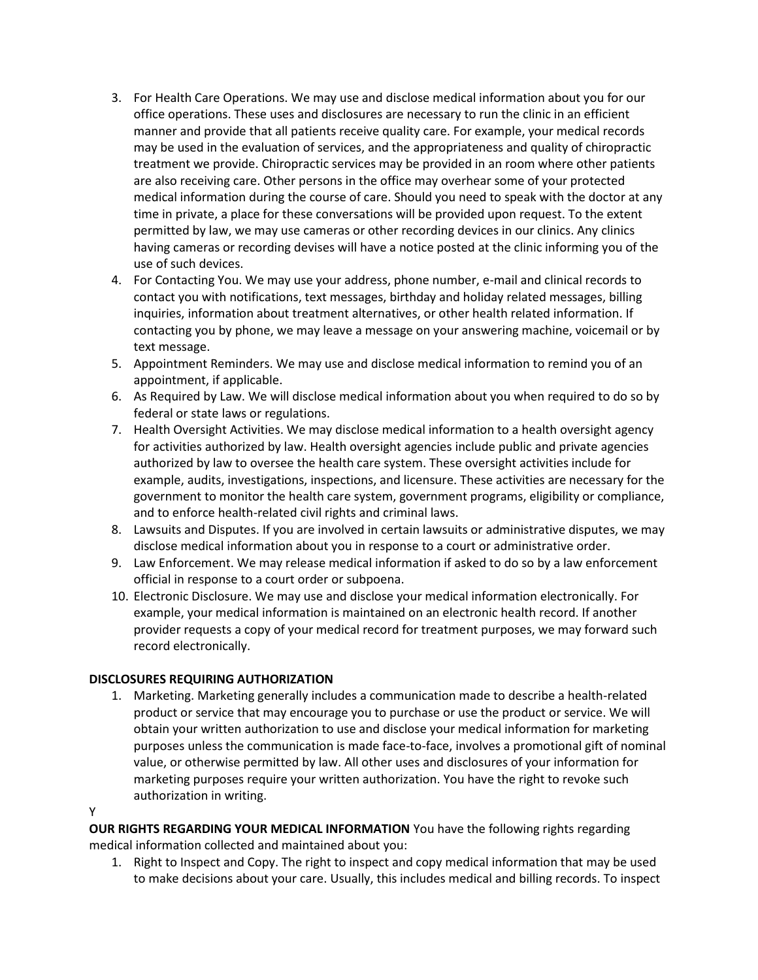- 3. For Health Care Operations. We may use and disclose medical information about you for our office operations. These uses and disclosures are necessary to run the clinic in an efficient manner and provide that all patients receive quality care. For example, your medical records may be used in the evaluation of services, and the appropriateness and quality of chiropractic treatment we provide. Chiropractic services may be provided in an room where other patients are also receiving care. Other persons in the office may overhear some of your protected medical information during the course of care. Should you need to speak with the doctor at any time in private, a place for these conversations will be provided upon request. To the extent permitted by law, we may use cameras or other recording devices in our clinics. Any clinics having cameras or recording devises will have a notice posted at the clinic informing you of the use of such devices.
- 4. For Contacting You. We may use your address, phone number, e-mail and clinical records to contact you with notifications, text messages, birthday and holiday related messages, billing inquiries, information about treatment alternatives, or other health related information. If contacting you by phone, we may leave a message on your answering machine, voicemail or by text message.
- 5. Appointment Reminders. We may use and disclose medical information to remind you of an appointment, if applicable.
- 6. As Required by Law. We will disclose medical information about you when required to do so by federal or state laws or regulations.
- 7. Health Oversight Activities. We may disclose medical information to a health oversight agency for activities authorized by law. Health oversight agencies include public and private agencies authorized by law to oversee the health care system. These oversight activities include for example, audits, investigations, inspections, and licensure. These activities are necessary for the government to monitor the health care system, government programs, eligibility or compliance, and to enforce health-related civil rights and criminal laws.
- 8. Lawsuits and Disputes. If you are involved in certain lawsuits or administrative disputes, we may disclose medical information about you in response to a court or administrative order.
- 9. Law Enforcement. We may release medical information if asked to do so by a law enforcement official in response to a court order or subpoena.
- 10. Electronic Disclosure. We may use and disclose your medical information electronically. For example, your medical information is maintained on an electronic health record. If another provider requests a copy of your medical record for treatment purposes, we may forward such record electronically.

## **DISCLOSURES REQUIRING AUTHORIZATION**

- 1. Marketing. Marketing generally includes a communication made to describe a health-related product or service that may encourage you to purchase or use the product or service. We will obtain your written authorization to use and disclose your medical information for marketing purposes unless the communication is made face-to-face, involves a promotional gift of nominal value, or otherwise permitted by law. All other uses and disclosures of your information for marketing purposes require your written authorization. You have the right to revoke such authorization in writing.
- Y

**OUR RIGHTS REGARDING YOUR MEDICAL INFORMATION** You have the following rights regarding medical information collected and maintained about you:

1. Right to Inspect and Copy. The right to inspect and copy medical information that may be used to make decisions about your care. Usually, this includes medical and billing records. To inspect